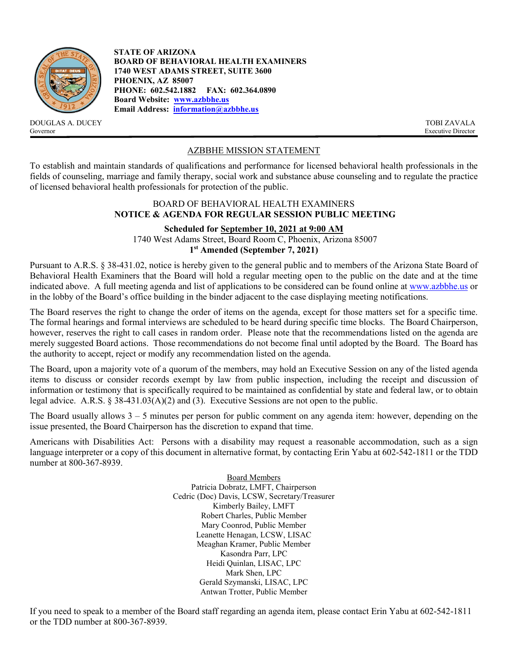

DOUGLAS A. DUCEY TOBI ZAVALA<br>
Sovernor Executive Director Governor Executive Director

**STATE OF ARIZONA BOARD OF BEHAVIORAL HEALTH EXAMINERS 1740 WEST ADAMS STREET, SUITE 3600 PHOENIX, AZ 85007 PHONE: 602.542.1882 FAX: 602.364.0890 Board Website: [www.azbbhe.us](http://www.azbbhe.us/) Email Address: [information@azbbhe.us](mailto:information@azbbhe.us)**

# AZBBHE MISSION STATEMENT

To establish and maintain standards of qualifications and performance for licensed behavioral health professionals in the fields of counseling, marriage and family therapy, social work and substance abuse counseling and to regulate the practice of licensed behavioral health professionals for protection of the public.

## BOARD OF BEHAVIORAL HEALTH EXAMINERS **NOTICE & AGENDA FOR REGULAR SESSION PUBLIC MEETING**

# **Scheduled for September 10, 2021 at 9:00 AM**

1740 West Adams Street, Board Room C, Phoenix, Arizona 85007 **1st Amended (September 7, 2021)**

Pursuant to A.R.S. § 38-431.02, notice is hereby given to the general public and to members of the Arizona State Board of Behavioral Health Examiners that the Board will hold a regular meeting open to the public on the date and at the time indicated above. A full meeting agenda and list of applications to be considered can be found online at [www.azbbhe.us](http://www.azbbhe.us/) or in the lobby of the Board's office building in the binder adjacent to the case displaying meeting notifications.

The Board reserves the right to change the order of items on the agenda, except for those matters set for a specific time. The formal hearings and formal interviews are scheduled to be heard during specific time blocks. The Board Chairperson, however, reserves the right to call cases in random order. Please note that the recommendations listed on the agenda are merely suggested Board actions. Those recommendations do not become final until adopted by the Board. The Board has the authority to accept, reject or modify any recommendation listed on the agenda.

The Board, upon a majority vote of a quorum of the members, may hold an Executive Session on any of the listed agenda items to discuss or consider records exempt by law from public inspection, including the receipt and discussion of information or testimony that is specifically required to be maintained as confidential by state and federal law, or to obtain legal advice. A.R.S. § 38-431.03(A)(2) and (3). Executive Sessions are not open to the public.

The Board usually allows  $3 - 5$  minutes per person for public comment on any agenda item: however, depending on the issue presented, the Board Chairperson has the discretion to expand that time.

Americans with Disabilities Act: Persons with a disability may request a reasonable accommodation, such as a sign language interpreter or a copy of this document in alternative format, by contacting Erin Yabu at 602-542-1811 or the TDD number at 800-367-8939.

> Board Members Patricia Dobratz, LMFT, Chairperson Cedric (Doc) Davis, LCSW, Secretary/Treasurer Kimberly Bailey, LMFT Robert Charles, Public Member Mary Coonrod, Public Member Leanette Henagan, LCSW, LISAC Meaghan Kramer, Public Member Kasondra Parr, LPC Heidi Quinlan, LISAC, LPC Mark Shen, LPC Gerald Szymanski, LISAC, LPC Antwan Trotter, Public Member

If you need to speak to a member of the Board staff regarding an agenda item, please contact Erin Yabu at 602-542-1811 or the TDD number at 800-367-8939.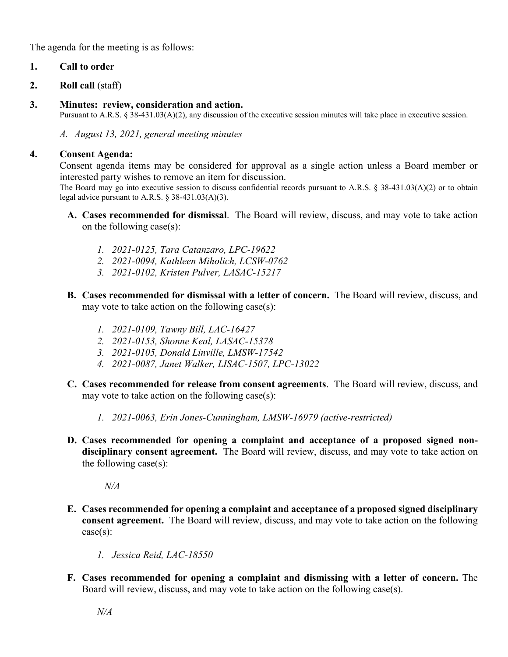The agenda for the meeting is as follows:

# **1. Call to order**

- **2. Roll call** (staff)
- **3. Minutes: review, consideration and action.**

Pursuant to A.R.S. § 38-431.03(A)(2), any discussion of the executive session minutes will take place in executive session.

*A. August 13, 2021, general meeting minutes*

# **4. Consent Agenda:**

Consent agenda items may be considered for approval as a single action unless a Board member or interested party wishes to remove an item for discussion.

The Board may go into executive session to discuss confidential records pursuant to A.R.S. § 38-431.03(A)(2) or to obtain legal advice pursuant to A.R.S.  $\S$  38-431.03(A)(3).

- **A. Cases recommended for dismissal**. The Board will review, discuss, and may vote to take action on the following case(s):
	- *1. 2021-0125, Tara Catanzaro, LPC-19622*
	- *2. 2021-0094, Kathleen Miholich, LCSW-0762*
	- *3. 2021-0102, Kristen Pulver, LASAC-15217*
- **B. Cases recommended for dismissal with a letter of concern.** The Board will review, discuss, and may vote to take action on the following case(s):
	- *1. 2021-0109, Tawny Bill, LAC-16427*
	- *2. 2021-0153, Shonne Keal, LASAC-15378*
	- *3. 2021-0105, Donald Linville, LMSW-17542*
	- *4. 2021-0087, Janet Walker, LISAC-1507, LPC-13022*
- **C. Cases recommended for release from consent agreements**. The Board will review, discuss, and may vote to take action on the following case $(s)$ :
	- *1. 2021-0063, Erin Jones-Cunningham, LMSW-16979 (active-restricted)*
- **D. Cases recommended for opening a complaint and acceptance of a proposed signed nondisciplinary consent agreement.** The Board will review, discuss, and may vote to take action on the following case(s):

*N/A*

- **E. Cases recommended for opening a complaint and acceptance of a proposed signed disciplinary consent agreement.** The Board will review, discuss, and may vote to take action on the following case(s):
	- *1. Jessica Reid, LAC-18550*
- **F. Cases recommended for opening a complaint and dismissing with a letter of concern.** The Board will review, discuss, and may vote to take action on the following case(s).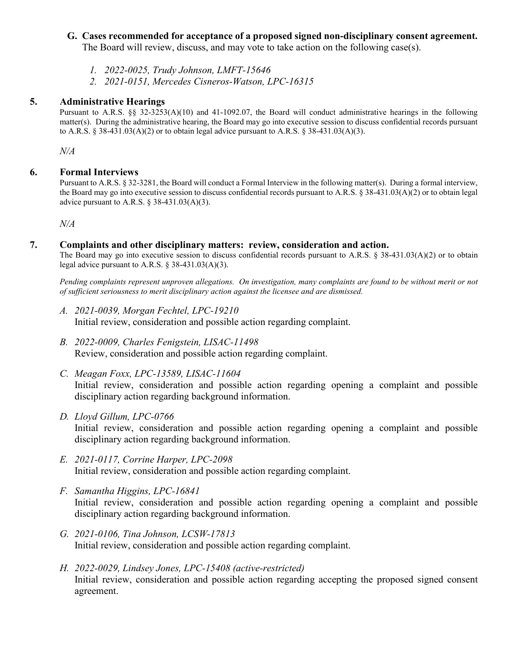# **G. Cases recommended for acceptance of a proposed signed non-disciplinary consent agreement.**

The Board will review, discuss, and may vote to take action on the following case(s).

- *1. 2022-0025, Trudy Johnson, LMFT-15646*
- *2. 2021-0151, Mercedes Cisneros-Watson, LPC-16315*

# **5. Administrative Hearings**

Pursuant to A.R.S. §§ 32-3253(A)(10) and 41-1092.07, the Board will conduct administrative hearings in the following matter(s). During the administrative hearing, the Board may go into executive session to discuss confidential records pursuant to A.R.S. § 38-431.03(A)(2) or to obtain legal advice pursuant to A.R.S. § 38-431.03(A)(3).

*N/A*

# **6. Formal Interviews**

Pursuant to A.R.S. § 32-3281, the Board will conduct a Formal Interview in the following matter(s).During a formal interview, the Board may go into executive session to discuss confidential records pursuant to A.R.S. § 38-431.03(A)(2) or to obtain legal advice pursuant to A.R.S.  $\S$  38-431.03(A)(3).

 *N/A*

## **7. Complaints and other disciplinary matters: review, consideration and action.**

The Board may go into executive session to discuss confidential records pursuant to A.R.S. § 38-431.03(A)(2) or to obtain legal advice pursuant to A.R.S. § 38-431.03(A)(3).

*Pending complaints represent unproven allegations. On investigation, many complaints are found to be without merit or not of sufficient seriousness to merit disciplinary action against the licensee and are dismissed.*

- *A. 2021-0039, Morgan Fechtel, LPC-19210* Initial review, consideration and possible action regarding complaint.
- *B. 2022-0009, Charles Fenigstein, LISAC-11498* Review, consideration and possible action regarding complaint.
- *C. Meagan Foxx, LPC-13589, LISAC-11604* Initial review, consideration and possible action regarding opening a complaint and possible disciplinary action regarding background information.
- *D. Lloyd Gillum, LPC-0766* Initial review, consideration and possible action regarding opening a complaint and possible disciplinary action regarding background information.
- *E. 2021-0117, Corrine Harper, LPC-2098* Initial review, consideration and possible action regarding complaint.
- *F. Samantha Higgins, LPC-16841* Initial review, consideration and possible action regarding opening a complaint and possible disciplinary action regarding background information.
- *G. 2021-0106, Tina Johnson, LCSW-17813* Initial review, consideration and possible action regarding complaint.
- *H. 2022-0029, Lindsey Jones, LPC-15408 (active-restricted)* Initial review, consideration and possible action regarding accepting the proposed signed consent agreement.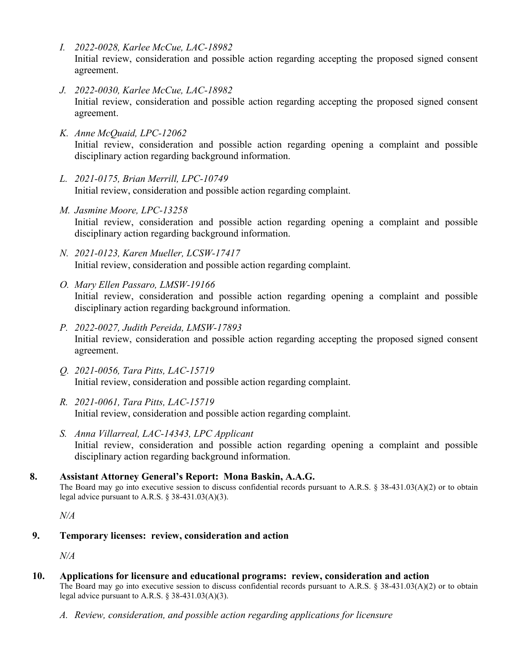- *I. 2022-0028, Karlee McCue, LAC-18982* Initial review, consideration and possible action regarding accepting the proposed signed consent agreement.
- *J. 2022-0030, Karlee McCue, LAC-18982* Initial review, consideration and possible action regarding accepting the proposed signed consent agreement.
- *K. Anne McQuaid, LPC-12062* Initial review, consideration and possible action regarding opening a complaint and possible disciplinary action regarding background information.
- *L. 2021-0175, Brian Merrill, LPC-10749* Initial review, consideration and possible action regarding complaint.
- *M. Jasmine Moore, LPC-13258* Initial review, consideration and possible action regarding opening a complaint and possible disciplinary action regarding background information.
- *N. 2021-0123, Karen Mueller, LCSW-17417* Initial review, consideration and possible action regarding complaint.
- *O. Mary Ellen Passaro, LMSW-19166* Initial review, consideration and possible action regarding opening a complaint and possible disciplinary action regarding background information.
- *P. 2022-0027, Judith Pereida, LMSW-17893* Initial review, consideration and possible action regarding accepting the proposed signed consent agreement.
- *Q. 2021-0056, Tara Pitts, LAC-15719* Initial review, consideration and possible action regarding complaint.
- *R. 2021-0061, Tara Pitts, LAC-15719* Initial review, consideration and possible action regarding complaint.
- *S. Anna Villarreal, LAC-14343, LPC Applicant* Initial review, consideration and possible action regarding opening a complaint and possible disciplinary action regarding background information.
- **8. Assistant Attorney General's Report: Mona Baskin, A.A.G.** The Board may go into executive session to discuss confidential records pursuant to A.R.S. § 38-431.03(A)(2) or to obtain legal advice pursuant to A.R.S. § 38-431.03(A)(3).

*N/A*

**9. Temporary licenses: review, consideration and action**

*N/A*

- **10. Applications for licensure and educational programs: review, consideration and action** The Board may go into executive session to discuss confidential records pursuant to A.R.S. § 38-431.03(A)(2) or to obtain legal advice pursuant to A.R.S. § 38-431.03(A)(3).
	- *A. Review, consideration, and possible action regarding applications for licensure*